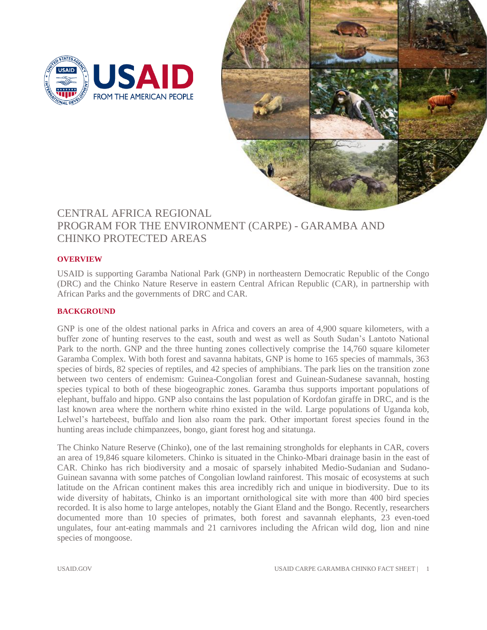



# CENTRAL AFRICA REGIONAL PROGRAM FOR THE ENVIRONMENT (CARPE) - GARAMBA AND CHINKO PROTECTED AREAS

### **OVERVIEW**

USAID is supporting Garamba National Park (GNP) in northeastern Democratic Republic of the Congo (DRC) and the Chinko Nature Reserve in eastern Central African Republic (CAR), in partnership with African Parks and the governments of DRC and CAR.

#### **BACKGROUND**

GNP is one of the oldest national parks in Africa and covers an area of 4,900 square kilometers, with a buffer zone of hunting reserves to the east, south and west as well as South Sudan's Lantoto National Park to the north. GNP and the three hunting zones collectively comprise the 14,760 square kilometer Garamba Complex. With both forest and savanna habitats, GNP is home to 165 species of mammals, 363 species of birds, 82 species of reptiles, and 42 species of amphibians. The park lies on the transition zone between two centers of endemism: Guinea-Congolian forest and Guinean-Sudanese savannah, hosting species typical to both of these biogeographic zones. Garamba thus supports important populations of elephant, buffalo and hippo. GNP also contains the last population of Kordofan giraffe in DRC, and is the last known area where the northern white rhino existed in the wild. Large populations of Uganda kob, Lelwel's hartebeest, buffalo and lion also roam the park. Other important forest species found in the hunting areas include chimpanzees, bongo, giant forest hog and sitatunga.

The Chinko Nature Reserve (Chinko), one of the last remaining strongholds for elephants in CAR, covers an area of 19,846 square kilometers. Chinko is situated in the Chinko-Mbari drainage basin in the east of CAR. Chinko has rich biodiversity and a mosaic of sparsely inhabited Medio-Sudanian and Sudano-Guinean savanna with some patches of Congolian lowland rainforest. This mosaic of ecosystems at such latitude on the African continent makes this area incredibly rich and unique in biodiversity. Due to its wide diversity of habitats, Chinko is an important ornithological site with more than 400 bird species recorded. It is also home to large antelopes, notably the Giant Eland and the Bongo. Recently, researchers documented more than 10 species of primates, both forest and savannah elephants, 23 even-toed ungulates, four ant-eating mammals and 21 carnivores including the African wild dog, lion and nine species of mongoose.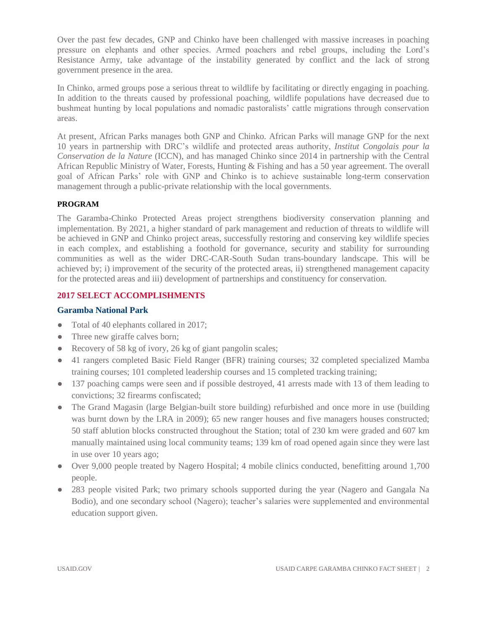Over the past few decades, GNP and Chinko have been challenged with massive increases in poaching pressure on elephants and other species. Armed poachers and rebel groups, including the Lord's Resistance Army, take advantage of the instability generated by conflict and the lack of strong government presence in the area.

In Chinko, armed groups pose a serious threat to wildlife by facilitating or directly engaging in poaching. In addition to the threats caused by professional poaching, wildlife populations have decreased due to bushmeat hunting by local populations and nomadic pastoralists' cattle migrations through conservation areas.

At present, African Parks manages both GNP and Chinko. African Parks will manage GNP for the next 10 years in partnership with DRC's wildlife and protected areas authority, *Institut Congolais pour la Conservation de la Nature* (ICCN), and has managed Chinko since 2014 in partnership with the Central African Republic Ministry of Water, Forests, Hunting & Fishing and has a 50 year agreement. The overall goal of African Parks' role with GNP and Chinko is to achieve sustainable long-term conservation management through a public-private relationship with the local governments.

# **PROGRAM**

The Garamba-Chinko Protected Areas project strengthens biodiversity conservation planning and implementation. By 2021, a higher standard of park management and reduction of threats to wildlife will be achieved in GNP and Chinko project areas, successfully restoring and conserving key wildlife species in each complex, and establishing a foothold for governance, security and stability for surrounding communities as well as the wider DRC-CAR-South Sudan trans-boundary landscape. This will be achieved by; i) improvement of the security of the protected areas, ii) strengthened management capacity for the protected areas and iii) development of partnerships and constituency for conservation.

# **2017 SELECT ACCOMPLISHMENTS**

# **Garamba National Park**

- Total of 40 elephants collared in 2017;
- Three new giraffe calves born;
- Recovery of 58 kg of ivory, 26 kg of giant pangolin scales;
- 41 rangers completed Basic Field Ranger (BFR) training courses; 32 completed specialized Mamba training courses; 101 completed leadership courses and 15 completed tracking training;
- 137 poaching camps were seen and if possible destroyed, 41 arrests made with 13 of them leading to convictions; 32 firearms confiscated;
- The Grand Magasin (large Belgian-built store building) refurbished and once more in use (building) was burnt down by the LRA in 2009); 65 new ranger houses and five managers houses constructed; 50 staff ablution blocks constructed throughout the Station; total of 230 km were graded and 607 km manually maintained using local community teams; 139 km of road opened again since they were last in use over 10 years ago;
- Over 9,000 people treated by Nagero Hospital; 4 mobile clinics conducted, benefitting around 1,700 people.
- 283 people visited Park; two primary schools supported during the year (Nagero and Gangala Na Bodio), and one secondary school (Nagero); teacher's salaries were supplemented and environmental education support given.